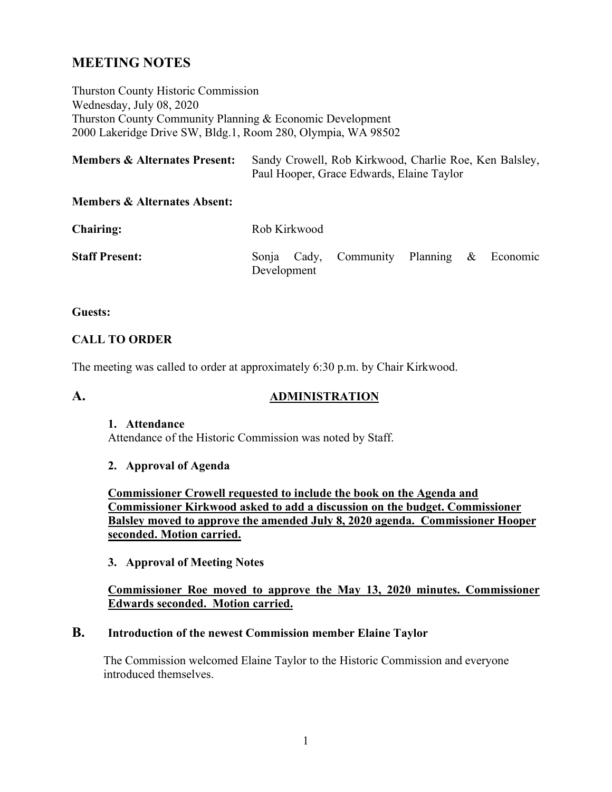# **MEETING NOTES**

Thurston County Historic Commission Wednesday, July 08, 2020 Thurston County Community Planning & Economic Development 2000 Lakeridge Drive SW, Bldg.1, Room 280, Olympia, WA 98502

| <b>Members &amp; Alternates Present:</b> | Sandy Crowell, Rob Kirkwood, Charlie Roe, Ken Balsley, |
|------------------------------------------|--------------------------------------------------------|
|                                          | Paul Hooper, Grace Edwards, Elaine Taylor              |

#### **Members & Alternates Absent:**

| <b>Chairing:</b>      |             | Rob Kirkwood |                                           |  |  |  |  |  |
|-----------------------|-------------|--------------|-------------------------------------------|--|--|--|--|--|
| <b>Staff Present:</b> | Development |              | Sonja Cady, Community Planning & Economic |  |  |  |  |  |

#### **Guests:**

#### **CALL TO ORDER**

The meeting was called to order at approximately 6:30 p.m. by Chair Kirkwood.

#### **A. ADMINISTRATION**

#### **1. Attendance**

Attendance of the Historic Commission was noted by Staff.

#### **2. Approval of Agenda**

**Commissioner Crowell requested to include the book on the Agenda and Commissioner Kirkwood asked to add a discussion on the budget. Commissioner Balsley moved to approve the amended July 8, 2020 agenda. Commissioner Hooper seconded. Motion carried.**

#### **3. Approval of Meeting Notes**

#### **Commissioner Roe moved to approve the May 13, 2020 minutes. Commissioner Edwards seconded. Motion carried.**

#### **B. Introduction of the newest Commission member Elaine Taylor**

The Commission welcomed Elaine Taylor to the Historic Commission and everyone introduced themselves.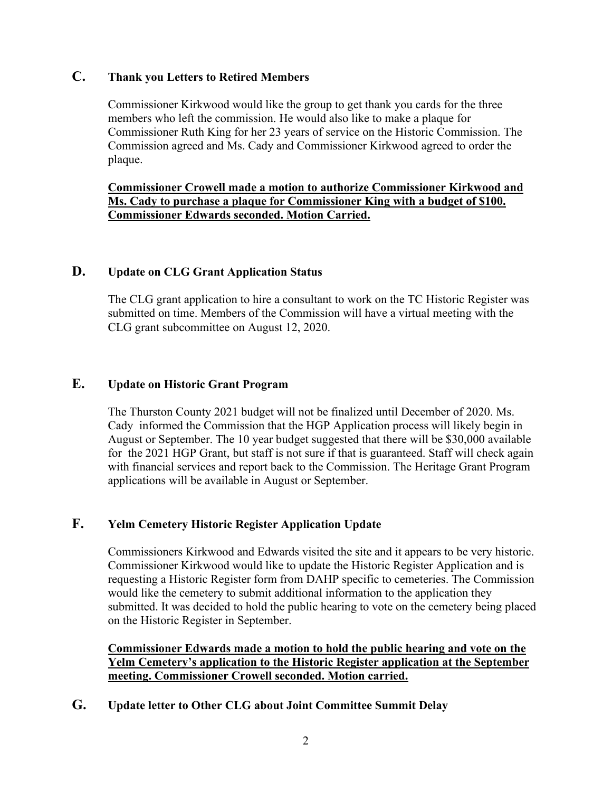# **C. Thank you Letters to Retired Members**

Commissioner Kirkwood would like the group to get thank you cards for the three members who left the commission. He would also like to make a plaque for Commissioner Ruth King for her 23 years of service on the Historic Commission. The Commission agreed and Ms. Cady and Commissioner Kirkwood agreed to order the plaque.

#### **Commissioner Crowell made a motion to authorize Commissioner Kirkwood and Ms. Cady to purchase a plaque for Commissioner King with a budget of \$100. Commissioner Edwards seconded. Motion Carried.**

# **D. Update on CLG Grant Application Status**

The CLG grant application to hire a consultant to work on the TC Historic Register was submitted on time. Members of the Commission will have a virtual meeting with the CLG grant subcommittee on August 12, 2020.

# **E. Update on Historic Grant Program**

The Thurston County 2021 budget will not be finalized until December of 2020. Ms. Cady informed the Commission that the HGP Application process will likely begin in August or September. The 10 year budget suggested that there will be \$30,000 available for the 2021 HGP Grant, but staff is not sure if that is guaranteed. Staff will check again with financial services and report back to the Commission. The Heritage Grant Program applications will be available in August or September.

# **F. Yelm Cemetery Historic Register Application Update**

Commissioners Kirkwood and Edwards visited the site and it appears to be very historic. Commissioner Kirkwood would like to update the Historic Register Application and is requesting a Historic Register form from DAHP specific to cemeteries. The Commission would like the cemetery to submit additional information to the application they submitted. It was decided to hold the public hearing to vote on the cemetery being placed on the Historic Register in September.

**Commissioner Edwards made a motion to hold the public hearing and vote on the Yelm Cemetery's application to the Historic Register application at the September meeting. Commissioner Crowell seconded. Motion carried.**

**G. Update letter to Other CLG about Joint Committee Summit Delay**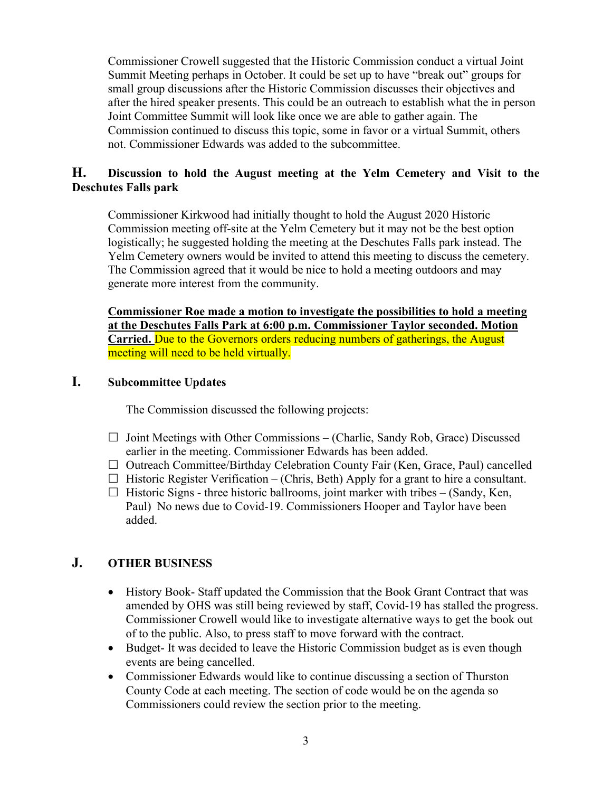Commissioner Crowell suggested that the Historic Commission conduct a virtual Joint Summit Meeting perhaps in October. It could be set up to have "break out" groups for small group discussions after the Historic Commission discusses their objectives and after the hired speaker presents. This could be an outreach to establish what the in person Joint Committee Summit will look like once we are able to gather again. The Commission continued to discuss this topic, some in favor or a virtual Summit, others not. Commissioner Edwards was added to the subcommittee.

# **H. Discussion to hold the August meeting at the Yelm Cemetery and Visit to the Deschutes Falls park**

Commissioner Kirkwood had initially thought to hold the August 2020 Historic Commission meeting off-site at the Yelm Cemetery but it may not be the best option logistically; he suggested holding the meeting at the Deschutes Falls park instead. The Yelm Cemetery owners would be invited to attend this meeting to discuss the cemetery. The Commission agreed that it would be nice to hold a meeting outdoors and may generate more interest from the community.

**Commissioner Roe made a motion to investigate the possibilities to hold a meeting at the Deschutes Falls Park at 6:00 p.m. Commissioner Taylor seconded. Motion Carried.** Due to the Governors orders reducing numbers of gatherings, the August meeting will need to be held virtually.

# **I. Subcommittee Updates**

The Commission discussed the following projects:

- $\Box$  Joint Meetings with Other Commissions (Charlie, Sandy Rob, Grace) Discussed earlier in the meeting. Commissioner Edwards has been added.
- $\Box$  Outreach Committee/Birthday Celebration County Fair (Ken, Grace, Paul) cancelled
- $\Box$  Historic Register Verification (Chris, Beth) Apply for a grant to hire a consultant.
- $\Box$  Historic Signs three historic ballrooms, joint marker with tribes  $-$  (Sandy, Ken, Paul) No news due to Covid-19. Commissioners Hooper and Taylor have been added.

# **J. OTHER BUSINESS**

- History Book-Staff updated the Commission that the Book Grant Contract that was amended by OHS was still being reviewed by staff, Covid-19 has stalled the progress. Commissioner Crowell would like to investigate alternative ways to get the book out of to the public. Also, to press staff to move forward with the contract.
- Budget- It was decided to leave the Historic Commission budget as is even though events are being cancelled.
- Commissioner Edwards would like to continue discussing a section of Thurston County Code at each meeting. The section of code would be on the agenda so Commissioners could review the section prior to the meeting.